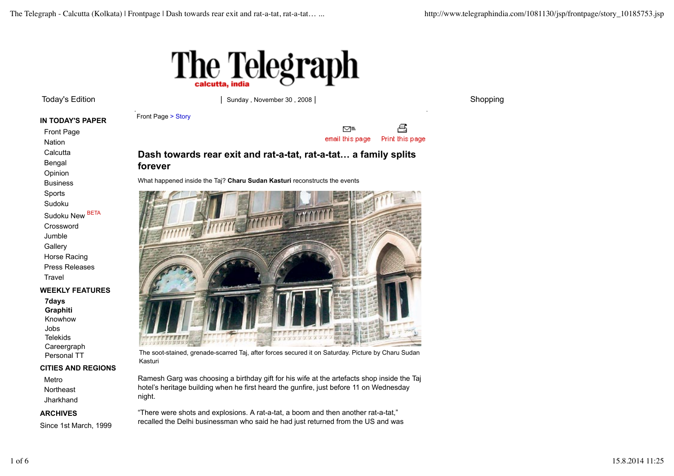

Sudoku New BETA Crossword Jumble **Gallery** Horse Racing Press Releases

**WEEKLY FEATURES**

**CITIES AND REGIONS**

Since 1st March, 1999

**Travel** 

**7days Graphiti** Knowhow Jobs Telekids **Careergraph** Personal TT

Metro Northeast **Jharkhand ARCHIVES**

Front Page Nation **Calcutta** Bengal Opinion Business Sports Sudoku

Today's Edition 
Today's Edition 
and the state of the state of the state of the state of the state of the state of the state of the state of the state of the state of the state of the state of the state of the state of th

**IN TODAY'S PAPER** Front Page > Story



# **Dash towards rear exit and rat-a-tat, rat-a-tat… a family splits forever**

What happened inside the Taj? **Charu Sudan Kasturi** reconstructs the events



The soot-stained, grenade-scarred Taj, after forces secured it on Saturday. Picture by Charu Sudan Kasturi

Ramesh Garg was choosing a birthday gift for his wife at the artefacts shop inside the Taj hotel's heritage building when he first heard the gunfire, just before 11 on Wednesday night.

"There were shots and explosions. A rat-a-tat, a boom and then another rat-a-tat," recalled the Delhi businessman who said he had just returned from the US and was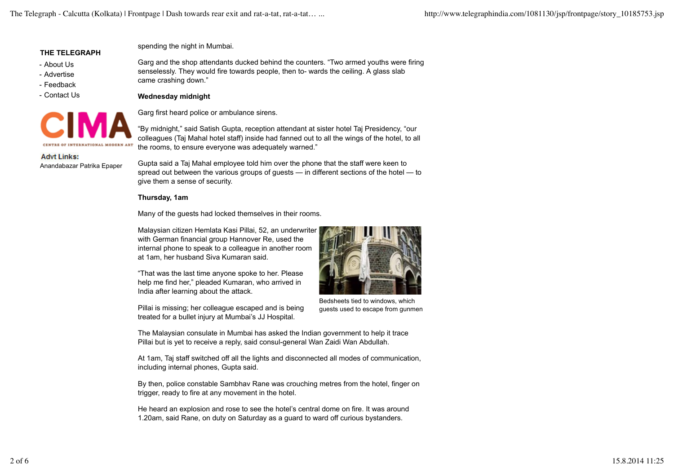#### **THE TELEGRAPH**

- About Us
- Advertise
- Feedback
- Contact Us



spending the night in Mumbai.

Garg and the shop attendants ducked behind the counters. "Two armed youths were firing senselessly. They would fire towards people, then to- wards the ceiling. A glass slab came crashing down."

## **Wednesday midnight**

Garg first heard police or ambulance sirens.

"By midnight," said Satish Gupta, reception attendant at sister hotel Taj Presidency, "our colleagues (Taj Mahal hotel staff) inside had fanned out to all the wings of the hotel, to all the rooms, to ensure everyone was adequately warned."

**Advt Links:** Anandabazar Patrika Epaper

Gupta said a Taj Mahal employee told him over the phone that the staff were keen to spread out between the various groups of guests — in different sections of the hotel — to give them a sense of security.

## **Thursday, 1am**

Many of the guests had locked themselves in their rooms.

Malaysian citizen Hemlata Kasi Pillai, 52, an underwriter with German financial group Hannover Re, used the internal phone to speak to a colleague in another room at 1am, her husband Siva Kumaran said.

"That was the last time anyone spoke to her. Please help me find her," pleaded Kumaran, who arrived in India after learning about the attack.

Pillai is missing; her colleague escaped and is being treated for a bullet injury at Mumbai's JJ Hospital.



Bedsheets tied to windows, which guests used to escape from gunmen

The Malaysian consulate in Mumbai has asked the Indian government to help it trace Pillai but is yet to receive a reply, said consul-general Wan Zaidi Wan Abdullah.

At 1am, Taj staff switched off all the lights and disconnected all modes of communication, including internal phones, Gupta said.

By then, police constable Sambhav Rane was crouching metres from the hotel, finger on trigger, ready to fire at any movement in the hotel.

He heard an explosion and rose to see the hotel's central dome on fire. It was around 1.20am, said Rane, on duty on Saturday as a guard to ward off curious bystanders.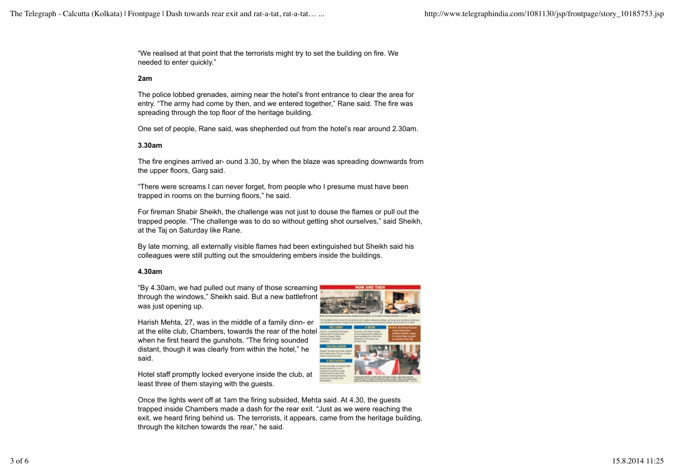"We realised at that point that the terrorists might try to set the building on fire. We needed to enter quickly."

#### **2am**

The police lobbed grenades, aiming near the hotel's front entrance to clear the area for entry. "The army had come by then, and we entered together," Rane said. The fire was spreading through the top floor of the heritage building.

One set of people, Rane said, was shepherded out from the hotel's rear around 2.30am.

### **3.30am**

The fire engines arrived ar- ound 3.30, by when the blaze was spreading downwards from the upper floors, Garg said.

"There were screams I can never forget, from people who I presume must have been trapped in rooms on the burning floors," he said.

For fireman Shabir Sheikh, the challenge was not just to douse the flames or pull out the trapped people. "The challenge was to do so without getting shot ourselves," said Sheikh, at the Taj on Saturday like Rane.

By late morning, all externally visible flames had been extinguished but Sheikh said his colleagues were still putting out the smouldering embers inside the buildings.

### **4.30am**

"By 4.30am, we had pulled out many of those screaming through the windows," Sheikh said. But a new battlefront was just opening up.



Harish Mehta, 27, was in the middle of a family dinn- er at the elite club, Chambers, towards the rear of the hotel when he first heard the gunshots. "The firing sounded distant, though it was clearly from within the hotel," he said.

Hotel staff promptly locked everyone inside the club, at least three of them staying with the guests.

Once the lights went off at 1am the firing subsided, Mehta said. At 4.30, the guests trapped inside Chambers made a dash for the rear exit. "Just as we were reaching the exit, we heard firing behind us. The terrorists, it appears, came from the heritage building, through the kitchen towards the rear," he said.

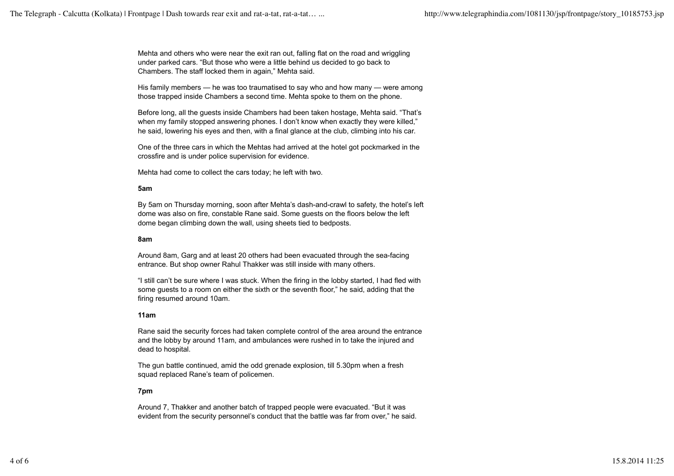Mehta and others who were near the exit ran out, falling flat on the road and wriggling under parked cars. "But those who were a little behind us decided to go back to Chambers. The staff locked them in again," Mehta said.

His family members — he was too traumatised to say who and how many — were among those trapped inside Chambers a second time. Mehta spoke to them on the phone.

Before long, all the guests inside Chambers had been taken hostage, Mehta said. "That's when my family stopped answering phones. I don't know when exactly they were killed," he said, lowering his eyes and then, with a final glance at the club, climbing into his car.

One of the three cars in which the Mehtas had arrived at the hotel got pockmarked in the crossfire and is under police supervision for evidence.

Mehta had come to collect the cars today; he left with two.

### **5am**

By 5am on Thursday morning, soon after Mehta's dash-and-crawl to safety, the hotel's left dome was also on fire, constable Rane said. Some guests on the floors below the left dome began climbing down the wall, using sheets tied to bedposts.

### **8am**

Around 8am, Garg and at least 20 others had been evacuated through the sea-facing entrance. But shop owner Rahul Thakker was still inside with many others.

"I still can't be sure where I was stuck. When the firing in the lobby started, I had fled with some guests to a room on either the sixth or the seventh floor," he said, adding that the firing resumed around 10am.

### **11am**

Rane said the security forces had taken complete control of the area around the entrance and the lobby by around 11am, and ambulances were rushed in to take the injured and dead to hospital.

The gun battle continued, amid the odd grenade explosion, till 5.30pm when a fresh squad replaced Rane's team of policemen.

## **7pm**

Around 7, Thakker and another batch of trapped people were evacuated. "But it was evident from the security personnel's conduct that the battle was far from over," he said.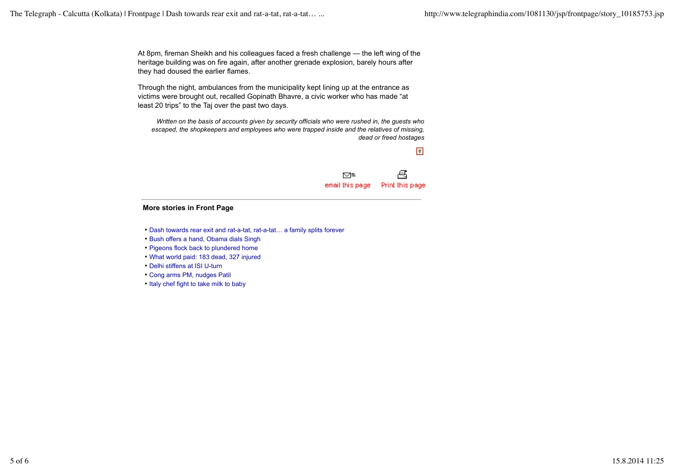At 8pm, fireman Sheikh and his colleagues faced a fresh challenge — the left wing of the heritage building was on fire again, after another grenade explosion, barely hours after they had doused the earlier flames.

Through the night, ambulances from the municipality kept lining up at the entrance as victims were brought out, recalled Gopinath Bhavre, a civic worker who has made "at least 20 trips" to the Taj over the past two days.

*Written on the basis of accounts given by security officials who were rushed in, the guests who escaped, the shopkeepers and employees who were trapped inside and the relatives of missing, dead or freed hostages*



#### **More stories in Front Page**

- Dash towards rear exit and rat-a-tat, rat-a-tat… a family splits forever
- Bush offers a hand, Obama dials Singh
- Pigeons flock back to plundered home
- What world paid: 183 dead, 327 injured
- Delhi stiffens at ISI U-turn
- Cong arms PM, nudges Patil
- Italy chef fight to take milk to baby